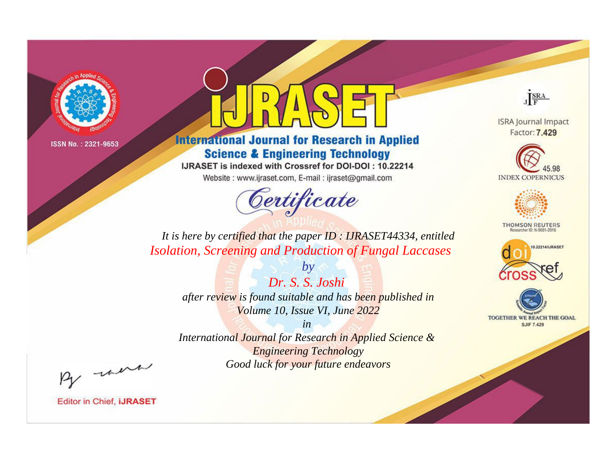

# **International Journal for Research in Applied Science & Engineering Technology**

IJRASET is indexed with Crossref for DOI-DOI: 10.22214

Website: www.ijraset.com, E-mail: ijraset@gmail.com



JERA

**ISRA Journal Impact** Factor: 7.429





**THOMSON REUTERS** 



TOGETHER WE REACH THE GOAL **SJIF 7.429** 

*It is here by certified that the paper ID : IJRASET44334, entitled Isolation, Screening and Production of Fungal Laccases*

> *Dr. S. S. Joshi after review is found suitable and has been published in Volume 10, Issue VI, June 2022*

*by*

*in* 

*International Journal for Research in Applied Science & Engineering Technology Good luck for your future endeavors*

By morn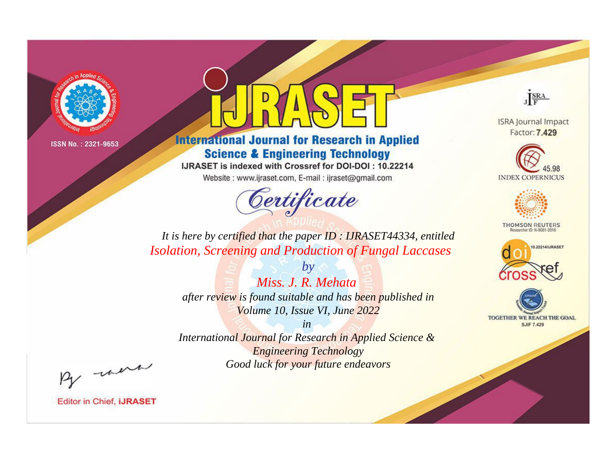

# **International Journal for Research in Applied Science & Engineering Technology**

IJRASET is indexed with Crossref for DOI-DOI: 10.22214

Website: www.ijraset.com, E-mail: ijraset@gmail.com



JERA

**ISRA Journal Impact** Factor: 7.429





**THOMSON REUTERS** 



TOGETHER WE REACH THE GOAL **SJIF 7.429** 

*It is here by certified that the paper ID : IJRASET44334, entitled Isolation, Screening and Production of Fungal Laccases*

> *Miss. J. R. Mehata after review is found suitable and has been published in Volume 10, Issue VI, June 2022*

*by*

*in* 

*International Journal for Research in Applied Science & Engineering Technology Good luck for your future endeavors*

By morn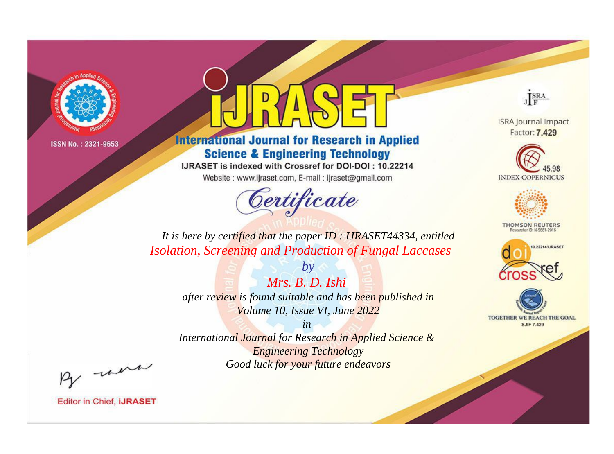

# **International Journal for Research in Applied Science & Engineering Technology**

IJRASET is indexed with Crossref for DOI-DOI: 10.22214

Website: www.ijraset.com, E-mail: ijraset@gmail.com



JERA

**ISRA Journal Impact** Factor: 7.429





**THOMSON REUTERS** 



TOGETHER WE REACH THE GOAL **SJIF 7.429** 

*It is here by certified that the paper ID : IJRASET44334, entitled Isolation, Screening and Production of Fungal Laccases*

> *Mrs. B. D. Ishi after review is found suitable and has been published in Volume 10, Issue VI, June 2022*

*by*

*in* 

*International Journal for Research in Applied Science & Engineering Technology Good luck for your future endeavors*

By morn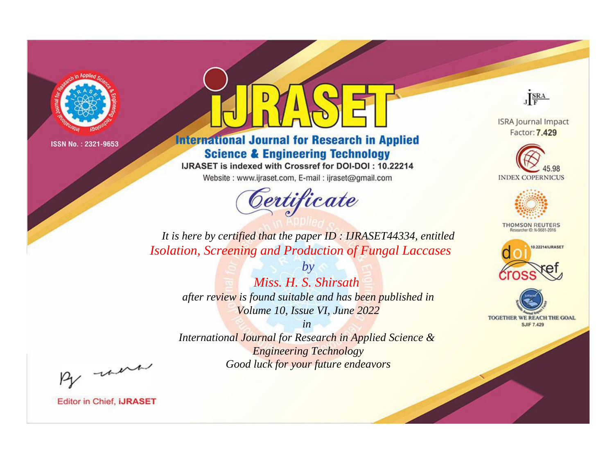

# **International Journal for Research in Applied Science & Engineering Technology**

IJRASET is indexed with Crossref for DOI-DOI: 10.22214

Website: www.ijraset.com, E-mail: ijraset@gmail.com



JERA

**ISRA Journal Impact** Factor: 7.429





**THOMSON REUTERS** 



TOGETHER WE REACH THE GOAL **SJIF 7.429** 

*It is here by certified that the paper ID : IJRASET44334, entitled Isolation, Screening and Production of Fungal Laccases*

> *Miss. H. S. Shirsath after review is found suitable and has been published in Volume 10, Issue VI, June 2022*

*by*

*in* 

*International Journal for Research in Applied Science & Engineering Technology Good luck for your future endeavors*

By morn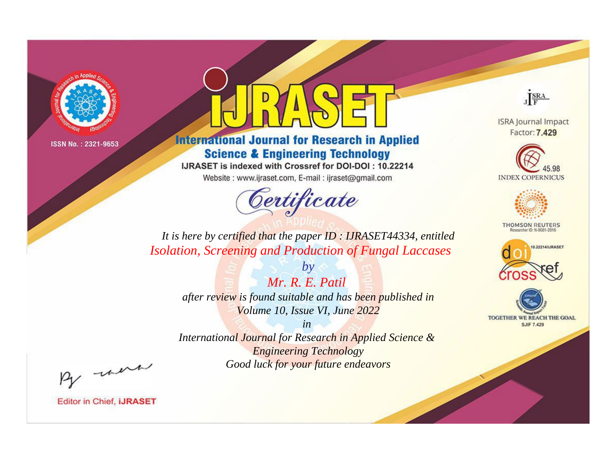

# **International Journal for Research in Applied Science & Engineering Technology**

IJRASET is indexed with Crossref for DOI-DOI: 10.22214

Website: www.ijraset.com, E-mail: ijraset@gmail.com



JERA

**ISRA Journal Impact** Factor: 7.429





**THOMSON REUTERS** 



TOGETHER WE REACH THE GOAL **SJIF 7.429** 

*It is here by certified that the paper ID : IJRASET44334, entitled Isolation, Screening and Production of Fungal Laccases*

> *Mr. R. E. Patil after review is found suitable and has been published in Volume 10, Issue VI, June 2022*

*by*

*in* 

*International Journal for Research in Applied Science & Engineering Technology Good luck for your future endeavors*

By morn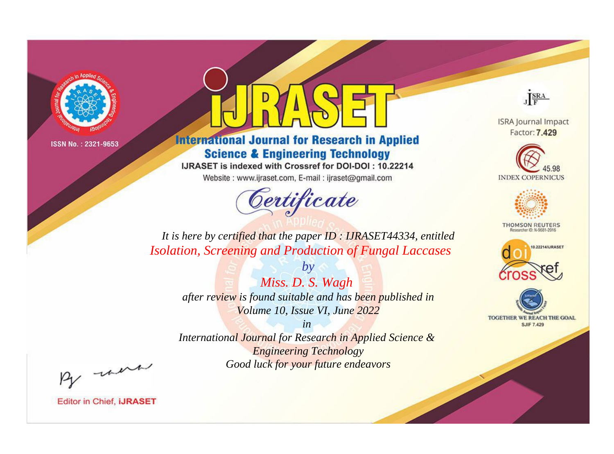

# **International Journal for Research in Applied Science & Engineering Technology**

IJRASET is indexed with Crossref for DOI-DOI: 10.22214

Website: www.ijraset.com, E-mail: ijraset@gmail.com



JERA

**ISRA Journal Impact** Factor: 7.429





**THOMSON REUTERS** 



TOGETHER WE REACH THE GOAL **SJIF 7.429** 

*It is here by certified that the paper ID : IJRASET44334, entitled Isolation, Screening and Production of Fungal Laccases*

> *Miss. D. S. Wagh after review is found suitable and has been published in Volume 10, Issue VI, June 2022*

*by*

*in* 

*International Journal for Research in Applied Science & Engineering Technology Good luck for your future endeavors*

By morn